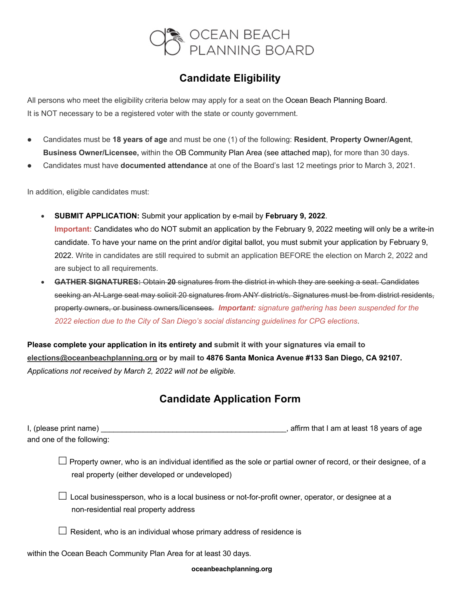

## **Candidate Eligibility**

All persons who meet the eligibility criteria below may apply for a seat on the Ocean Beach Planning Board. It is NOT necessary to be a registered voter with the state or county government.

- l Candidates must be **18 years of age** and must be one (1) of the following: **Resident**, **Property Owner/Agent**, **Business Owner/Licensee,** within the OB Community Plan Area (see attached map), for more than 30 days.
- l Candidates must have **documented attendance** at one of the Board's last 12 meetings prior to March 3, 2021.

In addition, eligible candidates must:

- **SUBMIT APPLICATION:** Submit your application by e-mail by **February 9, 2022**. **Important:** Candidates who do NOT submit an application by the February 9, 2022 meeting will only be a write-in candidate. To have your name on the print and/or digital ballot, you must submit your application by February 9, 2022. Write in candidates are still required to submit an application BEFORE the election on March 2, 2022 and are subject to all requirements.
- **GATHER SIGNATURES:** Obtain **20** signatures from the district in which they are seeking a seat. Candidates seeking an At-Large seat may solicit 20 signatures from ANY district/s. Signatures must be from district residents, property owners, or business owners/licensees*. Important: signature gathering has been suspended for the 2022 election due to the City of San Diego's social distancing guidelines for CPG elections*.

**Please complete your application in its entirety and submit it with your signatures via email to elections@oceanbeachplanning.org or by mail to 4876 Santa Monica Avenue #133 San Diego, CA 92107.** *Applications not received by March 2, 2022 will not be eligible.*

## **Candidate Application Form**

| I, (please print name)    | , affirm that I am at least 18 years of age |
|---------------------------|---------------------------------------------|
| and one of the following: |                                             |

 $\Box$  Property owner, who is an individual identified as the sole or partial owner of record, or their designee, of a real property (either developed or undeveloped)

 $\Box$  Local businessperson, who is a local business or not-for-profit owner, operator, or designee at a non-residential real property address

 $\Box$  Resident, who is an individual whose primary address of residence is

within the Ocean Beach Community Plan Area for at least 30 days.

**oceanbeachplanning.org**